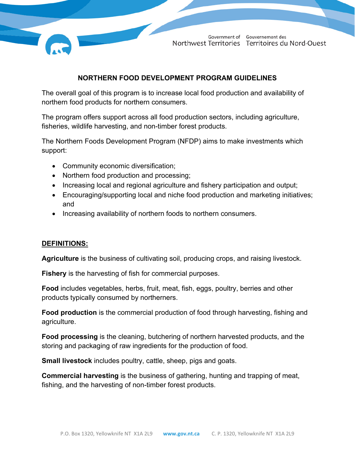

Government of Gouvernement des Northwest Territories Territoires du Nord-Ouest

### **NORTHERN FOOD DEVELOPMENT PROGRAM GUIDELINES**

The overall goal of this program is to increase local food production and availability of northern food products for northern consumers.

The program offers support across all food production sectors, including agriculture, fisheries, wildlife harvesting, and non-timber forest products.

The Northern Foods Development Program (NFDP) aims to make investments which support:

- Community economic diversification;
- Northern food production and processing;
- Increasing local and regional agriculture and fishery participation and output;
- Encouraging/supporting local and niche food production and marketing initiatives; and
- Increasing availability of northern foods to northern consumers.

### **DEFINITIONS:**

**Agriculture** is the business of cultivating soil, producing crops, and raising livestock.

**Fishery** is the harvesting of fish for commercial purposes.

**Food** includes vegetables, herbs, fruit, meat, fish, eggs, poultry, berries and other products typically consumed by northerners.

**Food production** is the commercial production of food through harvesting, fishing and agriculture.

**Food processing** is the cleaning, butchering of northern harvested products, and the storing and packaging of raw ingredients for the production of food.

**Small livestock** includes poultry, cattle, sheep, pigs and goats.

**Commercial harvesting** is the business of gathering, hunting and trapping of meat, fishing, and the harvesting of non-timber forest products.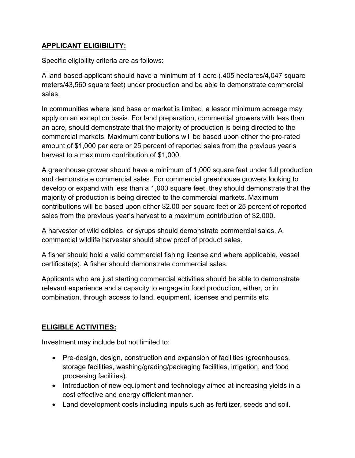## **APPLICANT ELIGIBILITY:**

Specific eligibility criteria are as follows:

A land based applicant should have a minimum of 1 acre (.405 hectares/4,047 square meters/43,560 square feet) under production and be able to demonstrate commercial sales.

In communities where land base or market is limited, a lessor minimum acreage may apply on an exception basis. For land preparation, commercial growers with less than an acre, should demonstrate that the majority of production is being directed to the commercial markets. Maximum contributions will be based upon either the pro-rated amount of \$1,000 per acre or 25 percent of reported sales from the previous year's harvest to a maximum contribution of \$1,000.

A greenhouse grower should have a minimum of 1,000 square feet under full production and demonstrate commercial sales. For commercial greenhouse growers looking to develop or expand with less than a 1,000 square feet, they should demonstrate that the majority of production is being directed to the commercial markets. Maximum contributions will be based upon either \$2.00 per square feet or 25 percent of reported sales from the previous year's harvest to a maximum contribution of \$2,000.

A harvester of wild edibles, or syrups should demonstrate commercial sales. A commercial wildlife harvester should show proof of product sales.

A fisher should hold a valid commercial fishing license and where applicable, vessel certificate(s). A fisher should demonstrate commercial sales.

Applicants who are just starting commercial activities should be able to demonstrate relevant experience and a capacity to engage in food production, either, or in combination, through access to land, equipment, licenses and permits etc.

## **ELIGIBLE ACTIVITIES:**

Investment may include but not limited to:

- Pre-design, design, construction and expansion of facilities (greenhouses, storage facilities, washing/grading/packaging facilities, irrigation, and food processing facilities).
- Introduction of new equipment and technology aimed at increasing yields in a cost effective and energy efficient manner.
- Land development costs including inputs such as fertilizer, seeds and soil.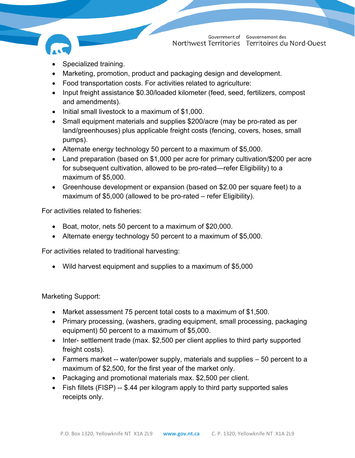

- Specialized training.
- Marketing, promotion, product and packaging design and development.
- Food transportation costs. For activities related to agriculture:
- Input freight assistance \$0.30/loaded kilometer (feed, seed, fertilizers, compost and amendments).
- Initial small livestock to a maximum of \$1,000.
- Small equipment materials and supplies \$200/acre (may be pro-rated as per land/greenhouses) plus applicable freight costs (fencing, covers, hoses, small pumps).
- Alternate energy technology 50 percent to a maximum of \$5,000.
- Land preparation (based on \$1,000 per acre for primary cultivation/\$200 per acre for subsequent cultivation, allowed to be pro-rated—refer Eligibility) to a maximum of \$5,000.
- Greenhouse development or expansion (based on \$2.00 per square feet) to a maximum of \$5,000 (allowed to be pro-rated – refer Eligibility).

For activities related to fisheries:

- Boat, motor, nets 50 percent to a maximum of \$20,000.
- Alternate energy technology 50 percent to a maximum of \$5,000.

For activities related to traditional harvesting:

• Wild harvest equipment and supplies to a maximum of \$5,000

Marketing Support:

- Market assessment 75 percent total costs to a maximum of \$1,500.
- Primary processing, (washers, grading equipment, small processing, packaging equipment) 50 percent to a maximum of \$5,000.
- Inter- settlement trade (max. \$2,500 per client applies to third party supported freight costs).
- Farmers market -- water/power supply, materials and supplies 50 percent to a maximum of \$2,500, for the first year of the market only.
- Packaging and promotional materials max. \$2,500 per client.
- Fish fillets (FISP) -- \$.44 per kilogram apply to third party supported sales receipts only.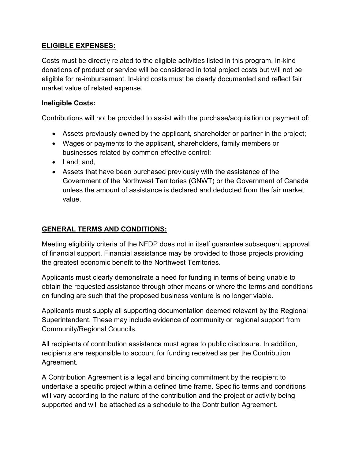## **ELIGIBLE EXPENSES:**

Costs must be directly related to the eligible activities listed in this program. In-kind donations of product or service will be considered in total project costs but will not be eligible for re-imbursement. In-kind costs must be clearly documented and reflect fair market value of related expense.

## **Ineligible Costs:**

Contributions will not be provided to assist with the purchase/acquisition or payment of:

- Assets previously owned by the applicant, shareholder or partner in the project;
- Wages or payments to the applicant, shareholders, family members or businesses related by common effective control;
- Land; and,
- Assets that have been purchased previously with the assistance of the Government of the Northwest Territories (GNWT) or the Government of Canada unless the amount of assistance is declared and deducted from the fair market value.

# **GENERAL TERMS AND CONDITIONS:**

Meeting eligibility criteria of the NFDP does not in itself guarantee subsequent approval of financial support. Financial assistance may be provided to those projects providing the greatest economic benefit to the Northwest Territories.

Applicants must clearly demonstrate a need for funding in terms of being unable to obtain the requested assistance through other means or where the terms and conditions on funding are such that the proposed business venture is no longer viable.

Applicants must supply all supporting documentation deemed relevant by the Regional Superintendent. These may include evidence of community or regional support from Community/Regional Councils.

All recipients of contribution assistance must agree to public disclosure. In addition, recipients are responsible to account for funding received as per the Contribution Agreement.

A Contribution Agreement is a legal and binding commitment by the recipient to undertake a specific project within a defined time frame. Specific terms and conditions will vary according to the nature of the contribution and the project or activity being supported and will be attached as a schedule to the Contribution Agreement.